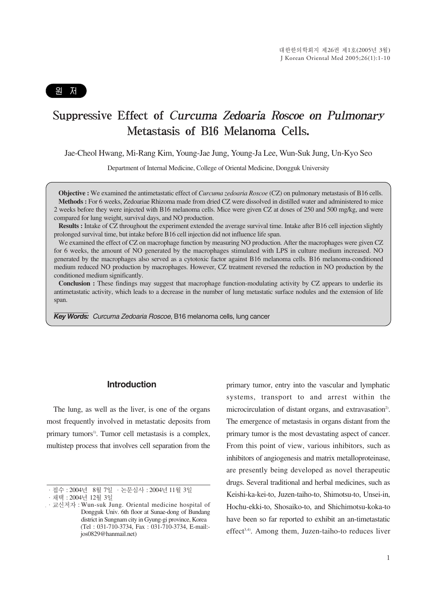### 원 저

# Suppressive Effect of Curcuma Zedoaria Roscoe on Pulmonary Metastasis of B16 Melanoma Cells.

Jae-Cheol Hwang, Mi-Rang Kim, Young-Jae Jung, Young-Ja Lee, Wun-Suk Jung, Un-Kyo Seo

Department of Internal Medicine, College of Oriental Medicine, Dongguk University

**Objective :** We examined the antimetastatic effect of *Curcuma zedoaria Roscoe* (CZ) on pulmonary metastasis of B16 cells. **Methods :** For 6 weeks, Zedoariae Rhizoma made from dried CZ were dissolved in distilled water and administered to mice 2 weeks before they were injected with B16 melanoma cells. Mice were given CZ at doses of 250 and 500 mg/kg, and were compared for lung weight, survival days, and NO production.

**Results :** Intake of CZ throughout the experiment extended the average survival time. Intake after B16 cell injection slightly prolonged survival time, but intake before B16 cell injection did not influence life span.

We examined the effect of CZ on macrophage function by measuring NO production. After the macrophages were given CZ for 6 weeks, the amount of NO generated by the macrophages stimulated with LPS in culture medium increased. NO generated by the macrophages also served as a cytotoxic factor against B16 melanoma cells. B16 melanoma-conditioned medium reduced NO production by macrophages. However, CZ treatment reversed the reduction in NO production by the conditioned medium significantly.

**Conclusion :** These findings may suggest that macrophage function-modulating activity by CZ appears to underlie its antimetastatic activity, which leads to a decrease in the number of lung metastatic surface nodules and the extension of life span.

*Key Words: Curcuma Zedoaria Roscoe*, B16 melanoma cells, lung cancer

#### **Introduction**

The lung, as well as the liver, is one of the organs most frequently involved in metastatic deposits from primary tumors<sup>1)</sup>. Tumor cell metastasis is a complex, multistep process that involves cell separation from the primary tumor, entry into the vascular and lymphatic systems, transport to and arrest within the microcirculation of distant organs, and extravasation<sup>2)</sup>. The emergence of metastasis in organs distant from the primary tumor is the most devastating aspect of cancer. From this point of view, various inhibitors, such as inhibitors of angiogenesis and matrix metalloproteinase, are presently being developed as novel therapeutic drugs. Several traditional and herbal medicines, such as Keishi-ka-kei-to, Juzen-taiho-to, Shimotsu-to, Unsei-in, Hochu-ekki-to, Shosaiko-to, and Shichimotsu-koka-to have been so far reported to exhibit an an-timetastatic effect<sup>3,4)</sup>. Among them, Juzen-taiho-to reduces liver

<sup>·</sup>접수 : 2004년 8월 7일 ·논문심사 : 2004년 11월 3일

<sup>·</sup>채택 : 2004년 12월 3일

<sup>·</sup>교신저자 : Wun-suk Jung. Oriental medicine hospital of Dongguk Univ. 6th floor at Sunae-dong of Bundang district in Sungnam city in Gyung-gi province, Korea (Tel : 031-710-3734, Fax : 031-710-3734, E-mail: jos0829@hanmail.net)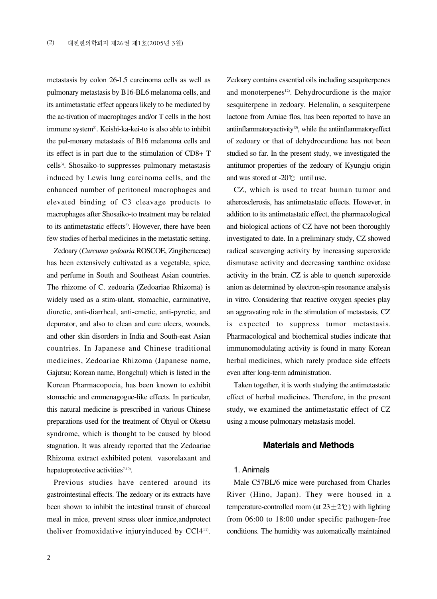metastasis by colon 26-L5 carcinoma cells as well as pulmonary metastasis by B16-BL6 melanoma cells, and its antimetastatic effect appears likely to be mediated by the ac-tivation of macrophages and/or T cells in the host immune system<sup>5)</sup>. Keishi-ka-kei-to is also able to inhibit the pul-monary metastasis of B16 melanoma cells and its effect is in part due to the stimulation of CD8+ T cells<sup>3)</sup>. Shosaiko-to suppresses pulmonary metastasis induced by Lewis lung carcinoma cells, and the enhanced number of peritoneal macrophages and elevated binding of C3 cleavage products to macrophages after Shosaiko-to treatment may be related to its antimetastatic effects<sup>6</sup>. However, there have been few studies of herbal medicines in the metastatic setting.

Zedoary (*Curcuma zedoaria* ROSCOE, Zingiberaceae) has been extensively cultivated as a vegetable, spice, and perfume in South and Southeast Asian countries. The rhizome of C. zedoaria (Zedoariae Rhizoma) is widely used as a stim-ulant, stomachic, carminative, diuretic, anti-diarrheal, anti-emetic, anti-pyretic, and depurator, and also to clean and cure ulcers, wounds, and other skin disorders in India and South-east Asian countries. In Japanese and Chinese traditional medicines, Zedoariae Rhizoma (Japanese name, Gajutsu; Korean name, Bongchul) which is listed in the Korean Pharmacopoeia, has been known to exhibit stomachic and emmenagogue-like effects. In particular, this natural medicine is prescribed in various Chinese preparations used for the treatment of Ohyul or Oketsu syndrome, which is thought to be caused by blood stagnation. It was already reported that the Zedoariae Rhizoma extract exhibited potent vasorelaxant and hepatoprotective activities<sup>7-10)</sup>.

Previous studies have centered around its gastrointestinal effects. The zedoary or its extracts have been shown to inhibit the intestinal transit of charcoal meal in mice, prevent stress ulcer inmice,andprotect theliver fromoxidative injuryinduced by CCl4<sup>11)</sup>.

Zedoary contains essential oils including sesquiterpenes and monoterpenes<sup>12)</sup>. Dehydrocurdione is the major sesquiterpene in zedoary. Helenalin, a sesquiterpene lactone from Arniae flos, has been reported to have an antiinflammatoryactivity<sup>13</sup>, while the antiinflammatoryeffect of zedoary or that of dehydrocurdione has not been studied so far. In the present study, we investigated the antitumor properties of the zedoary of Kyungju origin and was stored at -20℃ until use.

CZ, which is used to treat human tumor and atherosclerosis, has antimetastatic effects. However, in addition to its antimetastatic effect, the pharmacological and biological actions of CZ have not been thoroughly investigated to date. In a preliminary study, CZ showed radical scavenging activity by increasing superoxide dismutase activity and decreasing xanthine oxidase activity in the brain. CZ is able to quench superoxide anion as determined by electron-spin resonance analysis in vitro. Considering that reactive oxygen species play an aggravating role in the stimulation of metastasis, CZ is expected to suppress tumor metastasis. Pharmacological and biochemical studies indicate that immunomodulating activity is found in many Korean herbal medicines, which rarely produce side effects even after long-term administration.

Taken together, it is worth studying the antimetastatic effect of herbal medicines. Therefore, in the present study, we examined the antimetastatic effect of CZ using a mouse pulmonary metastasis model.

### **Materials and Methods**

### 1. Animals

Male C57BL/6 mice were purchased from Charles River (Hino, Japan). They were housed in a temperature-controlled room (at  $23 \pm 2$ °C) with lighting from 06:00 to 18:00 under specific pathogen-free conditions. The humidity was automatically maintained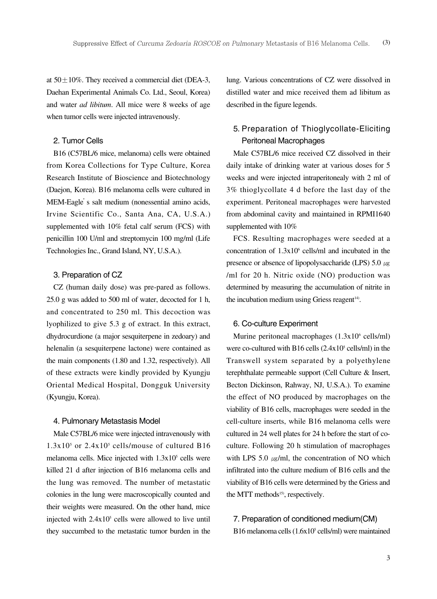at  $50 \pm 10\%$ . They received a commercial diet (DEA-3, Daehan Experimental Animals Co. Ltd., Seoul, Korea) and water *ad libitum*. All mice were 8 weeks of age when tumor cells were injected intravenously.

# 2. Tumor Cells

B16 (C57BL/6 mice, melanoma) cells were obtained from Korea Collections for Type Culture, Korea Research Institute of Bioscience and Biotechnology (Daejon, Korea). B16 melanoma cells were cultured in MEM-Eagle's salt medium (nonessential amino acids, Irvine Scientific Co., Santa Ana, CA, U.S.A.) supplemented with 10% fetal calf serum (FCS) with penicillin 100 U/ml and streptomycin 100 mg/ml (Life Technologies Inc., Grand Island, NY, U.S.A.).

#### 3. Preparation of CZ

CZ (human daily dose) was pre-pared as follows. 25.0 g was added to 500 ml of water, decocted for 1 h, and concentrated to 250 ml. This decoction was lyophilized to give 5.3 g of extract. In this extract, dhydrocurdione (a major sesquiterpene in zedoary) and helenalin (a sesquiterpene lactone) were contained as the main components (1.80 and 1.32, respectively). All of these extracts were kindly provided by Kyungju Oriental Medical Hospital, Dongguk University (Kyungju, Korea).

#### 4. Pulmonary Metastasis Model

Male C57BL/6 mice were injected intravenously with  $1.3x10<sup>5</sup>$  or  $2.4x10<sup>5</sup>$  cells/mouse of cultured B16 melanoma cells. Mice injected with  $1.3x10<sup>5</sup>$  cells were killed 21 d after injection of B16 melanoma cells and the lung was removed. The number of metastatic colonies in the lung were macroscopically counted and their weights were measured. On the other hand, mice injected with  $2.4x10<sup>5</sup>$  cells were allowed to live until they succumbed to the metastatic tumor burden in the

lung. Various concentrations of CZ were dissolved in distilled water and mice received them ad libitum as described in the figure legends.

# 5. Preparation of Thioglycollate-Eliciting Peritoneal Macrophages

Male C57BL/6 mice received CZ dissolved in their daily intake of drinking water at various doses for 5 weeks and were injected intraperitonealy with 2 ml of 3% thioglycollate 4 d before the last day of the experiment. Peritoneal macrophages were harvested from abdominal cavity and maintained in RPMI1640 supplemented with 10%

FCS. Resulting macrophages were seeded at a concentration of  $1.3x10^6$  cells/ml and incubated in the presence or absence of lipopolysaccharide (LPS)  $5.0 \mu$ g /ml for 20 h. Nitric oxide (NO) production was determined by measuring the accumulation of nitrite in the incubation medium using Griess reagent<sup>14)</sup>.

#### 6. Co-culture Experiment

Murine peritoneal macrophages  $(1.3x10<sup>6</sup>$  cells/ml) were co-cultured with B16 cells  $(2.4x10<sup>5</sup>$  cells/ml) in the Transwell system separated by a polyethylene terephthalate permeable support (Cell Culture & Insert, Becton Dickinson, Rahway, NJ, U.S.A.). To examine the effect of NO produced by macrophages on the viability of B16 cells, macrophages were seeded in the cell-culture inserts, while B16 melanoma cells were cultured in 24 well plates for 24 h before the start of coculture. Following 20 h stimulation of macrophages with LPS 5.0  $\mu$ g/ml, the concentration of NO which infiltrated into the culture medium of B16 cells and the viability of B16 cells were determined by the Griess and the MTT methods<sup>15)</sup>, respectively.

#### 7. Preparation of conditioned medium(CM)

B16 melanoma cells  $(1.6x10<sup>5</sup>$  cells/ml) were maintained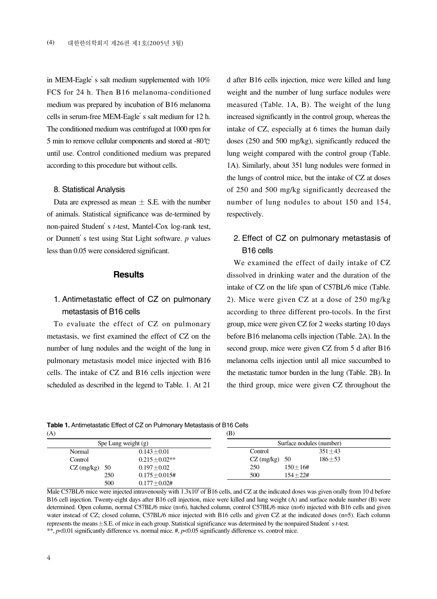in MEM-Eagle's salt medium supplemented with 10% FCS for 24 h. Then B16 melanoma-conditioned medium was prepared by incubation of B16 melanoma cells in serum-free MEM-Eagle's salt medium for 12 h. The conditioned medium was centrifuged at 1000 rpm for 5 min to remove cellular components and stored at -80℃ until use. Control conditioned medium was prepared according to this procedure but without cells.

#### 8. Statistical Analysis

Data are expressed as mean  $\pm$  S.E. with the number of animals. Statistical significance was de-termined by non-paired Student's *t*-test, Mantel-Cox log-rank test, or Dunnett's test using Stat Light software. *p* values less than 0.05 were considered significant.

### **Results**

# 1. Antimetastatic effect of CZ on pulmonary metastasis of B16 cells

To evaluate the effect of CZ on pulmonary metastasis, we first examined the effect of CZ on the number of lung nodules and the weight of the lung in pulmonary metastasis model mice injected with B16 cells. The intake of CZ and B16 cells injection were scheduled as described in the legend to Table. 1. At 21

d after B16 cells injection, mice were killed and lung weight and the number of lung surface nodules were measured (Table. 1A, B). The weight of the lung increased significantly in the control group, whereas the intake of CZ, especially at 6 times the human daily doses (250 and 500 mg/kg), significantly reduced the lung weight compared with the control group (Table. 1A). Similarly, about 351 lung nodules were formed in the lungs of control mice, but the intake of CZ at doses of 250 and 500 mg/kg significantly decreased the number of lung nodules to about 150 and 154, respectively.

# 2. Effect of CZ on pulmonary metastasis of B16 cells

We examined the effect of daily intake of CZ dissolved in drinking water and the duration of the intake of CZ on the life span of C57BL/6 mice (Table. 2). Mice were given CZ at a dose of 250 mg/kg according to three different pro-tocols. In the first group, mice were given CZ for 2 weeks starting 10 days before B16 melanoma cells injection (Table. 2A). In the second group, mice were given CZ from 5 d after B16 melanoma cells injection until all mice succumbed to the metastatic tumor burden in the lung (Table. 2B). In the third group, mice were given CZ throughout the

**Table 1.** Antimetastatic Effect of CZ on Pulmonary Metastasis of B16 Cells  $(A)$  (B)

| $\sim$ $\sim$ |                       |                   |                          |             |            |  |
|---------------|-----------------------|-------------------|--------------------------|-------------|------------|--|
|               | Spe Lung weight $(g)$ |                   | Surface nodules (number) |             |            |  |
| Normal        |                       | $0.143 + 0.01$    | Control                  |             | $351 + 43$ |  |
| Control       |                       | $0.215 + 0.02**$  | $CZ$ (mg/kg)             | 50          | $186 + 53$ |  |
| $CZ$ (mg/kg)  | 50                    | $0.197 + 0.02$    | 250                      | $150 + 16#$ |            |  |
|               | 250                   | $0.175 + 0.015$ # | 500                      | $154 + 22#$ |            |  |
|               | 500                   | $0.177 + 0.02$ #  |                          |             |            |  |

Male C57BL/6 mice were injected intravenously with  $1.3x10<sup>5</sup>$  of B16 cells, and CZ at the indicated doses was given orally from 10 d before B16 cell injection. Twenty-eight days after B16 cell injection, mice were killed and lung weight (A) and surface nodule number (B) were determined. Open column, normal C57BL/6 mice (n=6), hatched column, control C57BL/6 mice (n=6) injected with B16 cells and given water instead of CZ; closed column, C57BL/6 mice injected with B16 cells and given CZ at the indicated doses (n=5). Each column represents the means±S.E. of mice in each group. Statistical significance was determined by the nonpaired Student's *t*-test. \*\*, *p*<0.01 significantly difference vs. normal mice. #, *p*<0.05 significantly difference vs. control mice.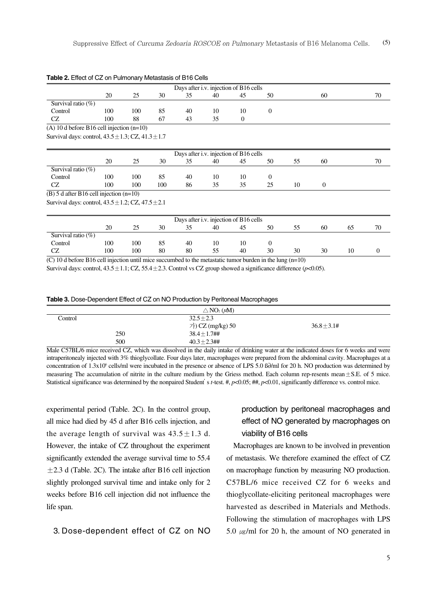|                                                                                                             |     |     |     | Days after i.v. injection of B16 cells |    |              |              |    |              |    |              |
|-------------------------------------------------------------------------------------------------------------|-----|-----|-----|----------------------------------------|----|--------------|--------------|----|--------------|----|--------------|
|                                                                                                             | 20  | 25  | 30  | 35                                     | 40 | 45           | 50           |    | 60           |    | 70           |
| Survival ratio (%)                                                                                          |     |     |     |                                        |    |              |              |    |              |    |              |
| Control                                                                                                     | 100 | 100 | 85  | 40                                     | 10 | 10           | $\mathbf{0}$ |    |              |    |              |
| CZ                                                                                                          | 100 | 88  | 67  | 43                                     | 35 | $\mathbf{0}$ |              |    |              |    |              |
| $(A)$ 10 d before B16 cell injection $(n=10)$                                                               |     |     |     |                                        |    |              |              |    |              |    |              |
| Survival days: control, $43.5 \pm 1.3$ ; CZ, $41.3 \pm 1.7$                                                 |     |     |     |                                        |    |              |              |    |              |    |              |
|                                                                                                             |     |     |     |                                        |    |              |              |    |              |    |              |
|                                                                                                             |     |     |     | Days after i.v. injection of B16 cells |    |              |              |    |              |    |              |
|                                                                                                             | 20  | 25  | 30  | 35                                     | 40 | 45           | 50           | 55 | 60           |    | 70           |
| Survival ratio $(\%)$                                                                                       |     |     |     |                                        |    |              |              |    |              |    |              |
| Control                                                                                                     | 100 | 100 | 85  | 40                                     | 10 | 10           | $\theta$     |    |              |    |              |
| CZ                                                                                                          | 100 | 100 | 100 | 86                                     | 35 | 35           | 25           | 10 | $\mathbf{0}$ |    |              |
| $(B)$ 5 d after B16 cell injection $(n=10)$                                                                 |     |     |     |                                        |    |              |              |    |              |    |              |
| Survival days: control, $43.5 \pm 1.2$ ; CZ, $47.5 \pm 2.1$                                                 |     |     |     |                                        |    |              |              |    |              |    |              |
|                                                                                                             |     |     |     |                                        |    |              |              |    |              |    |              |
|                                                                                                             |     |     |     | Days after i.v. injection of B16 cells |    |              |              |    |              |    |              |
|                                                                                                             | 20  | 25  | 30  | 35                                     | 40 | 45           | 50           | 55 | 60           | 65 | 70           |
| Survival ratio (%)                                                                                          |     |     |     |                                        |    |              |              |    |              |    |              |
| Control                                                                                                     | 100 | 100 | 85  | 40                                     | 10 | 10           | $\Omega$     |    |              |    |              |
| CZ                                                                                                          | 100 | 100 | 80  | 80                                     | 55 | 40           | 30           | 30 | 30           | 10 | $\mathbf{0}$ |
| (C) 10 d before B16 cell injection until mice succumbed to the metastatic tumor burden in the lung $(n=10)$ |     |     |     |                                        |    |              |              |    |              |    |              |

**Table 2.** Effect of CZ on Pulmonary Metastasis of B16 Cells

Survival days: control,  $43.5 \pm 1.1$ ; CZ,  $55.4 \pm 2.3$ . Control vs CZ group showed a significance difference ( $p$ <0.05).

| Table 3. Dose-Dependent Effect of CZ on NO Production by Peritoneal Macrophages |  |  |
|---------------------------------------------------------------------------------|--|--|
|---------------------------------------------------------------------------------|--|--|

|         |     | $\triangle$ NO <sub>2</sub> ( $\mu$ M) |               |
|---------|-----|----------------------------------------|---------------|
| Control |     | $32.5 + 2.3$                           |               |
|         |     | $7)$ CZ (mg/kg) 50                     | $36.8 + 3.1#$ |
|         | 250 | $38.4 + 1.7$ ##                        |               |
|         | 500 | $40.3 + 2.3$ ##                        |               |

Male C57BL/6 mice received CZ, which was dissolved in the daily intake of drinking water at the indicated doses for 6 weeks and were intraperitonealy injected with 3% thioglycollate. Four days later, macrophages were prepared from the abdominal cavity. Macrophages at a concentration of 1.3x10<sup>6</sup> cells/ml were incubated in the presence or absence of LPS 5.0 ß∂/ml for 20 h. NO production was determined by measuring The accumulation of nitrite in the culture medium by the Griess method. Each column rep-resents mean $\pm$ S.E. of 5 mice. Statistical significance was determined by the nonpaired Student's *t*-test. #, *p*<0.05; ##, *p*<0.01, significantly difference vs. control mice.

experimental period (Table. 2C). In the control group, all mice had died by 45 d after B16 cells injection, and the average length of survival was  $43.5 \pm 1.3$  d. However, the intake of CZ throughout the experiment significantly extended the average survival time to 55.4  $\pm$ 2.3 d (Table. 2C). The intake after B16 cell injection slightly prolonged survival time and intake only for 2 weeks before B16 cell injection did not influence the life span.

#### 3. Dose-dependent effect of CZ on NO

# production by peritoneal macrophages and effect of NO generated by macrophages on viability of B16 cells

Macrophages are known to be involved in prevention of metastasis. We therefore examined the effect of CZ on macrophage function by measuring NO production. C57BL/6 mice received CZ for 6 weeks and thioglycollate-eliciting peritoneal macrophages were harvested as described in Materials and Methods. Following the stimulation of macrophages with LPS 5.0  $\mu$ g/ml for 20 h, the amount of NO generated in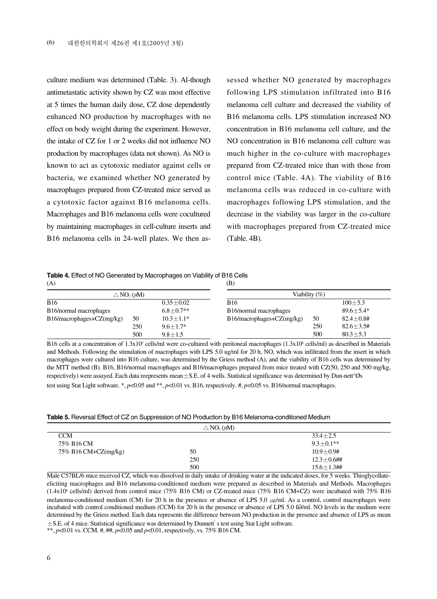culture medium was determined (Table. 3). Al-though antimetastatic activity shown by CZ was most effective at 5 times the human daily dose, CZ dose dependently enhanced NO production by macrophages with no effect on body weight during the experiment. However, the intake of CZ for 1 or 2 weeks did not influence NO production by macrophages (data not shown). As NO is known to act as cytotoxic mediator against cells or bacteria, we examined whether NO generated by macrophages prepared from CZ-treated mice served as a cytotoxic factor against B16 melanoma cells. Macrophages and B16 melanoma cells were cocultured by maintaining macrophages in cell-culture inserts and B16 melanoma cells in 24-well plates. We then assessed whether NO generated by macrophages following LPS stimulation infiltrated into B16 melanoma cell culture and decreased the viability of B16 melanoma cells. LPS stimulation increased NO concentration in B16 melanoma cell culture, and the NO concentration in B16 melanoma cell culture was much higher in the co-culture with macrophages prepared from CZ-treated mice than with those from control mice (Table. 4A). The viability of B16 melanoma cells was reduced in co-culture with macrophages following LPS stimulation, and the decrease in the viability was larger in the co-culture with macrophages prepared from CZ-treated mice (Table. 4B).

**Table 4.** Effect of NO Generated by Macrophages on Viability of B16 Cells  $(A)$  (B)

|                                     | $\triangle$ NO <sub>2</sub> ( $\mu$ M) |               | Viability $(\%)$          |     |               |  |  |
|-------------------------------------|----------------------------------------|---------------|---------------------------|-----|---------------|--|--|
| <b>B16</b>                          |                                        | $0.35 + 0.02$ | <b>B</b> 16               |     | $100 + 5.3$   |  |  |
| B16/normal macrophages              |                                        | $6.8 + 0.7**$ | B16/normal macrophages    |     | $89.6 + 5.4*$ |  |  |
| $B16/macrophages + CZ(mg/kg)$<br>50 |                                        | $10.3 + 1.1*$ | B16/macrophages+CZ(mg/kg) | 50  | $82.4+0.8#$   |  |  |
|                                     | 250                                    | $9.6 + 1.7*$  |                           | 250 | $82.6 + 3.5#$ |  |  |
|                                     | 500                                    | $9.8 + 1.5$   |                           | 500 | $80.3 + 5.3$  |  |  |

B16 cells at a concentration of 1.3x10<sup>5</sup> cells/ml were co-cultured with peritoneal macrophages (1.3x10<sup>6</sup> cells/ml) as described in Materials and Methods. Following the stimulation of macrophages with LPS 5.0 ug/ml for 20 h, NO, which was infiltrated from the insert in which macrophages were cultured into B16 culture, was determined by the Griess method (A), and the viability of B16 cells was determined by the MTT method (B). B16, B16/normal macrophages and B16/macrophages prepared from mice treated with CZ(50, 250 and 500 mg/kg, respectively) were assayed. Each data reepresents mean  $\pm$ S.E. of 4 wells. Statistical significance was determined by Dun-nett<sup>o</sup>Øs test using Stat Light software. \*, *p*<0.05 and \*\*, *p*<0.01 vs. B16, respectively. #, *p*<0.05 vs. B16/normal macrophages.

| Table 5. Reversal Effect of CZ on Suppression of NO Production by B16 Melanoma-conditioned Medium |  |
|---------------------------------------------------------------------------------------------------|--|
|---------------------------------------------------------------------------------------------------|--|

| $\triangle$ NO <sub>2</sub> ( $\mu$ M) |     |                 |  |  |  |
|----------------------------------------|-----|-----------------|--|--|--|
| <b>CCM</b>                             |     | $33.4 + 2.5$    |  |  |  |
| 75% B16 CM                             |     | $9.3+0.1**$     |  |  |  |
| 75% B16 CM+CZ(mg/kg)                   | 50  | $10.9 + 0.9$ #  |  |  |  |
|                                        | 250 | $12.3 + 0.6$ ## |  |  |  |
|                                        | 500 | $15.6 + 1.3$ ## |  |  |  |

Male C57BL/6 mice received CZ, which was dissolved in daily intake of drinking water at the indicated doses, for 5 weeks. Thioglycollateeliciting macrophages and B16 melanoma-conditioned medium were prepared as described in Materials and Methods. Macrophages  $(1.4x10<sup>6</sup>$  cells/ml) derived from control mice (75% B16 CM) or CZ-treated mice (75% B16 CM+CZ) were incubated with 75% B16 melanoma-conditioned medium (CM) for 20 h in the presence or absence of LPS 5.0  $\mu$ s/ml. As a control, control macrophages were incubated with control conditioned medium (CCM) for 20 h in the presence or absence of LPS 5.0 ß∂/ml. NO levels in the medium were determined by the Griess method. Each data represents the difference between NO production in the presence and absence of LPS as mean  $\pm$ S.E. of 4 mice. Statistical significance was determined by Dunnett's test using Stat Light software.

\*\*, *p*<0.01 vs. CCM. #, ##, *p*<0.05 and *p*<0.01, respectively, vs. 75% B16 CM.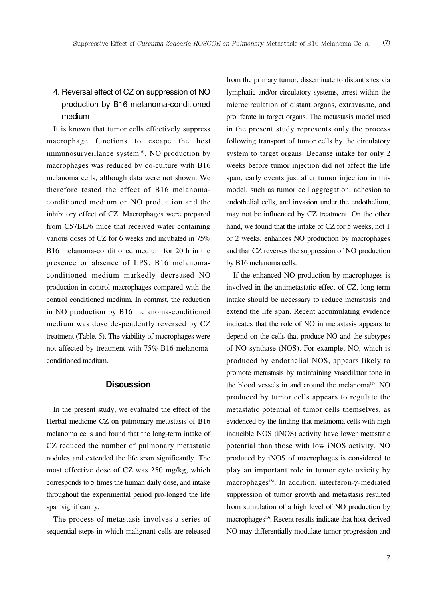# 4. Reversal effect of CZ on suppression of NO production by B16 melanoma-conditioned medium

It is known that tumor cells effectively suppress macrophage functions to escape the host immunosurveillance system<sup>16)</sup>. NO production by macrophages was reduced by co-culture with B16 melanoma cells, although data were not shown. We therefore tested the effect of B16 melanomaconditioned medium on NO production and the inhibitory effect of CZ. Macrophages were prepared from C57BL/6 mice that received water containing various doses of CZ for 6 weeks and incubated in 75% B16 melanoma-conditioned medium for 20 h in the presence or absence of LPS. B16 melanomaconditioned medium markedly decreased NO production in control macrophages compared with the control conditioned medium. In contrast, the reduction in NO production by B16 melanoma-conditioned medium was dose de-pendently reversed by CZ treatment (Table. 5). The viability of macrophages were not affected by treatment with 75% B16 melanomaconditioned medium.

### **Discussion**

In the present study, we evaluated the effect of the Herbal medicine CZ on pulmonary metastasis of B16 melanoma cells and found that the long-term intake of CZ reduced the number of pulmonary metastatic nodules and extended the life span significantly. The most effective dose of CZ was 250 mg/kg, which corresponds to 5 times the human daily dose, and intake throughout the experimental period pro-longed the life span significantly.

The process of metastasis involves a series of sequential steps in which malignant cells are released from the primary tumor, disseminate to distant sites via lymphatic and/or circulatory systems, arrest within the microcirculation of distant organs, extravasate, and proliferate in target organs. The metastasis model used in the present study represents only the process following transport of tumor cells by the circulatory system to target organs. Because intake for only 2 weeks before tumor injection did not affect the life span, early events just after tumor injection in this model, such as tumor cell aggregation, adhesion to endothelial cells, and invasion under the endothelium, may not be influenced by CZ treatment. On the other hand, we found that the intake of CZ for 5 weeks, not 1 or 2 weeks, enhances NO production by macrophages and that CZ reverses the suppression of NO production by B16 melanoma cells.

If the enhanced NO production by macrophages is involved in the antimetastatic effect of CZ, long-term intake should be necessary to reduce metastasis and extend the life span. Recent accumulating evidence indicates that the role of NO in metastasis appears to depend on the cells that produce NO and the subtypes of NO synthase (NOS). For example, NO, which is produced by endothelial NOS, appears likely to promote metastasis by maintaining vasodilator tone in the blood vessels in and around the melanoma<sup>17)</sup>. NO produced by tumor cells appears to regulate the metastatic potential of tumor cells themselves, as evidenced by the finding that melanoma cells with high inducible NOS (iNOS) activity have lower metastatic potential than those with low iNOS activity. NO produced by iNOS of macrophages is considered to play an important role in tumor cytotoxicity by macrophages<sup>18)</sup>. In addition, interferon-γ-mediated suppression of tumor growth and metastasis resulted from stimulation of a high level of NO production by macrophages<sup>19)</sup>. Recent results indicate that host-derived NO may differentially modulate tumor progression and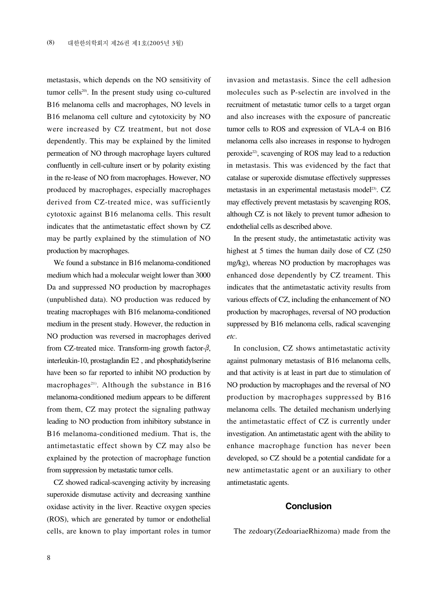metastasis, which depends on the NO sensitivity of tumor cells<sup>20)</sup>. In the present study using co-cultured B16 melanoma cells and macrophages, NO levels in B16 melanoma cell culture and cytotoxicity by NO were increased by CZ treatment, but not dose dependently. This may be explained by the limited permeation of NO through macrophage layers cultured confluently in cell-culture insert or by polarity existing in the re-lease of NO from macrophages. However, NO produced by macrophages, especially macrophages derived from CZ-treated mice, was sufficiently cytotoxic against B16 melanoma cells. This result indicates that the antimetastatic effect shown by CZ may be partly explained by the stimulation of NO production by macrophages.

We found a substance in B16 melanoma-conditioned medium which had a molecular weight lower than 3000 Da and suppressed NO production by macrophages (unpublished data). NO production was reduced by treating macrophages with B16 melanoma-conditioned medium in the present study. However, the reduction in NO production was reversed in macrophages derived from CZ-treated mice. Transform-ing growth factor- $\beta$ , interleukin-10, prostaglandin E2 , and phosphatidylserine have been so far reported to inhibit NO production by macrophages<sup>21)</sup>. Although the substance in B16 melanoma-conditioned medium appears to be different from them, CZ may protect the signaling pathway leading to NO production from inhibitory substance in B16 melanoma-conditioned medium. That is, the antimetastatic effect shown by CZ may also be explained by the protection of macrophage function from suppression by metastatic tumor cells.

CZ showed radical-scavenging activity by increasing superoxide dismutase activity and decreasing xanthine oxidase activity in the liver. Reactive oxygen species (ROS), which are generated by tumor or endothelial cells, are known to play important roles in tumor invasion and metastasis. Since the cell adhesion molecules such as P-selectin are involved in the recruitment of metastatic tumor cells to a target organ and also increases with the exposure of pancreatic tumor cells to ROS and expression of VLA-4 on B16 melanoma cells also increases in response to hydrogen peroxide22), scavenging of ROS may lead to a reduction in metastasis. This was evidenced by the fact that catalase or superoxide dismutase effectively suppresses metastasis in an experimental metastasis model<sup>23)</sup>. CZ may effectively prevent metastasis by scavenging ROS, although CZ is not likely to prevent tumor adhesion to endothelial cells as described above.

In the present study, the antimetastatic activity was highest at 5 times the human daily dose of CZ (250 mg/kg), whereas NO production by macrophages was enhanced dose dependently by CZ treament. This indicates that the antimetastatic activity results from various effects of CZ, including the enhancement of NO production by macrophages, reversal of NO production suppressed by B16 melanoma cells, radical scavenging *etc*.

In conclusion, CZ shows antimetastatic activity against pulmonary metastasis of B16 melanoma cells, and that activity is at least in part due to stimulation of NO production by macrophages and the reversal of NO production by macrophages suppressed by B16 melanoma cells. The detailed mechanism underlying the antimetastatic effect of CZ is currently under investigation. An antimetastatic agent with the ability to enhance macrophage function has never been developed, so CZ should be a potential candidate for a new antimetastatic agent or an auxiliary to other antimetastatic agents.

# **Conclusion**

The zedoary(ZedoariaeRhizoma) made from the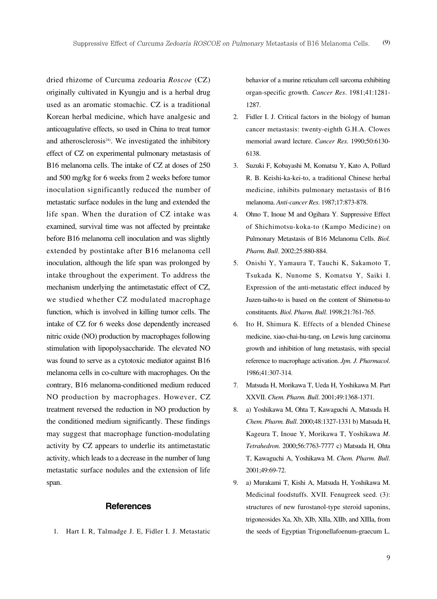dried rhizome of Curcuma zedoaria *Roscoe* (CZ) originally cultivated in Kyungju and is a herbal drug used as an aromatic stomachic. CZ is a traditional Korean herbal medicine, which have analgesic and anticoagulative effects, so used in China to treat tumor and atherosclerosis $24$ . We investigated the inhibitory effect of CZ on experimental pulmonary metastasis of B16 melanoma cells. The intake of CZ at doses of 250 and 500 mg/kg for 6 weeks from 2 weeks before tumor inoculation significantly reduced the number of metastatic surface nodules in the lung and extended the life span. When the duration of CZ intake was examined, survival time was not affected by preintake before B16 melanoma cell inoculation and was slightly extended by postintake after B16 melanoma cell inoculation, although the life span was prolonged by intake throughout the experiment. To address the mechanism underlying the antimetastatic effect of CZ, we studied whether CZ modulated macrophage function, which is involved in killing tumor cells. The intake of CZ for 6 weeks dose dependently increased nitric oxide (NO) production by macrophages following stimulation with lipopolysaccharide. The elevated NO was found to serve as a cytotoxic mediator against B16 melanoma cells in co-culture with macrophages. On the contrary, B16 melanoma-conditioned medium reduced NO production by macrophages. However, CZ treatment reversed the reduction in NO production by the conditioned medium significantly. These findings may suggest that macrophage function-modulating activity by CZ appears to underlie its antimetastatic activity, which leads to a decrease in the number of lung metastatic surface nodules and the extension of life span.

#### **References**

1. Hart I. R, Talmadge J. E, Fidler I. J. Metastatic

behavior of a murine reticulum cell sarcoma exhibiting organ-specific growth. *Cancer Res*. 1981;41:1281- 1287.

- 2. Fidler I. J. Critical factors in the biology of human cancer metastasis: twenty-eighth G.H.A. Clowes memorial award lecture. *Cancer Res*. 1990;50:6130- 6138.
- 3. Suzuki F, Kobayashi M, Komatsu Y, Kato A, Pollard R. B. Keishi-ka-kei-to, a traditional Chinese herbal medicine, inhibits pulmonary metastasis of B16 melanoma. *Anti-cancer Res*. 1987;17:873-878.
- 4. Ohno T, Inoue M and Ogihara Y. Suppressive Effect of Shichimotsu-koka-to (Kampo Medicine) on Pulmonary Metastasis of B16 Melanoma Cells. *Biol. Pharm. Bull*. 2002;25:880-884.
- 5. Onishi Y, Yamaura T, Tauchi K, Sakamoto T, Tsukada K, Nunome S, Komatsu Y, Saiki I. Expression of the anti-metastatic effect induced by Juzen-taiho-to is based on the content of Shimotsu-to constituents. *Biol. Pharm. Bull*. 1998;21:761-765.
- 6. Ito H, Shimura K. Effects of a blended Chinese medicine, xiao-chai-hu-tang, on Lewis lung carcinoma growth and inhibition of lung metastasis, with special reference to macrophage activation. *Jpn. J. Pharmacol*. 1986;41:307-314.
- 7. Matsuda H, Morikawa T, Ueda H, Yoshikawa M. Part XXVII. *Chem. Pharm. Bull*. 2001;49:1368-1371.
- 8. a) Yoshikawa M, Ohta T, Kawaguchi A, Matsuda H. *Chem. Pharm. Bull*. 2000;48:1327-1331 b) Matsuda H, Kageura T, Inoue Y, Morikawa T, Yoshikawa *M. Tetrahedron*. 2000;56:7763-7777 c) Matsuda H, Ohta T, Kawaguchi A, Yoshikawa M. *Chem. Pharm. Bull*. 2001;49:69-72.
- 9. a) Murakami T, Kishi A, Matsuda H, Yoshikawa M. Medicinal foodstuffs. XVII. Fenugreek seed. (3): structures of new furostanol-type steroid saponins, trigoneosides Xa, Xb, XIb, XIIa, XIIb, and XIIIa, from the seeds of Egyptian Trigonellafoenum-graecum L.